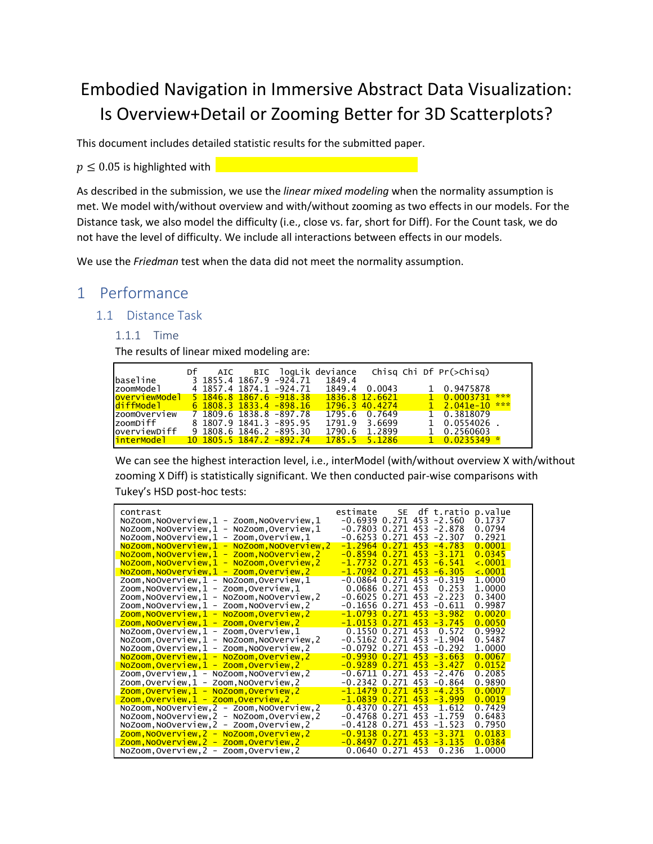# Embodied Navigation in Immersive Abstract Data Visualization: Is Overview+Detail or Zooming Better for 3D Scatterplots?

This document includes detailed statistic results for the submitted paper.

 $p \leq 0.05$  is highlighted with

As described in the submission, we use the *linear mixed modeling* when the normality assumption is met. We model with/without overview and with/without zooming as two effects in our models. For the Distance task, we also model the difficulty (i.e., close vs. far, short for Diff). For the Count task, we do not have the level of difficulty. We include all interactions between effects in our models.

We use the *Friedman* test when the data did not meet the normality assumption.

# 1 Performance

## 1.1 Distance Task

1.1.1 Time

The results of linear mixed modeling are:

|                          | Df |  |                           |        |                       |  | AIC BIC logLik deviance Chisg Chi Df Pr(>Chisg) |  |
|--------------------------|----|--|---------------------------|--------|-----------------------|--|-------------------------------------------------|--|
| lbaseline                |    |  | 3 1855.4 1867.9 -924.71   | 1849.4 |                       |  |                                                 |  |
| IzoomModel               |    |  | 4 1857.4 1874.1 -924.71   | 1849.4 | 0.0043                |  | 1 0.9475878                                     |  |
| loverviewModel           |    |  | 5 1846 8 1867 6 -918 38   |        | <u>1836.8 12.6621</u> |  | $1\quad 0.0003731$ ***                          |  |
| l <mark>diffModel</mark> |    |  | $6$ 1808.3 1833.4 -898.16 |        | 1796.3 40.4274        |  | $1 \quad 2.041e-10 \quad$ ***                   |  |
| IzoomOverview            |    |  | 7 1809.6 1838.8 -897.78   |        | 1795.6 0.7649         |  | 1 0.3818079                                     |  |
| lzoomDiff                |    |  | 8 1807.9 1841.3 -895.95   | 1791.9 | 3.6699                |  | $1 \quad 0.0554026$ .                           |  |
| loverviewDiff            |    |  | $9$ 1808.6 1846.2 -895.30 | 1790.6 | 1.2899                |  | 1 0.2560603                                     |  |
| <mark>interModel</mark>  |    |  | 10 1805 5 1847 2 -892 74  |        | $1785.5$ $5.1286$     |  | $1 \quad 0.0235349$ *                           |  |

We can see the highest interaction level, i.e., interModel (with/without overview X with/without zooming X Diff) is statistically significant. We then conducted pair-wise comparisons with Tukey's HSD post-hoc tests:

| contrast<br>NoZoom, NoOverview, 1 - Zoom, NoOverview, 1<br>NoZoom, NoOverview, 1 - NoZoom, Overview, 1<br>$NoZoom, NoOverview, 1 - Zoom, Overview, 1$ | SE -<br>df t.ratio p.value<br>estimate<br>$-0.6939$ 0.271 453 $-2.560$<br>0.1737<br>$-0.7803$ 0.271 453 $-2.878$<br>0.0794<br>-0.6253 0.271 453 -2.307<br>0.2921 |
|-------------------------------------------------------------------------------------------------------------------------------------------------------|------------------------------------------------------------------------------------------------------------------------------------------------------------------|
| NoZoom,NoOverview,1 - NoZoom,NoOverview,2<br>$NoZoom, NoOverview, 1 - Zoom, NoOverview, 2$<br>NoZoom, NoOverview, 1 - NoZoom, Overview, 2             | -1.2964 0.271 453 -4.783<br>0.0001<br>-0.8594 0.271 453 -3.171<br>0.0345<br>-1.7732 0.271 453 -6.541<br>< .0001                                                  |
| NoZoom,NoOverview,1 - Zoom,Overview,2<br>Zoom,NoOverview,1 - NoZoom,Overview,1                                                                        | $-1.7092$ 0.271 453 -6.305<br>< .0001<br>$-0.0864$ 0.271 453 $-0.319$<br>1.0000                                                                                  |
| Zoom,NoOverview,1 - Zoom,Overview,1<br>Zoom, NoOverview, 1 - NoZoom, NoOverview, 2                                                                    | 0.0686 0.271 453 0.253<br>1.0000<br>$-0.6025$ 0.271 453 $-2.223$<br>0.3400                                                                                       |
| Zoom, NoOverview, 1 - Zoom, NoOverview, 2<br><u> Zoom,NoOverview,1 - NoZoom,Overview,2</u><br>Zoom, NoOverview, 1 - Zoom, Overview, 2                 | $-0.1656$ 0.271 453 $-0.611$<br>0.9987<br>$-1.0793$ 0.271 453 -3.982<br>0.0020<br>$-1.0153$ 0.271 453 -3.745<br>0.0050                                           |
| $NoZoom, Overview, 1 - Zoom, Overview, 1$<br>NoZoom, Overview, 1 - NoZoom, NoOverview, 2                                                              | 0.1550 0.271 453<br>0.9992<br>0.572<br>$-0.5162$ 0.271 453 $-1.904$<br>0.5487                                                                                    |
| NoZoom, Overview, 1 - Zoom, NoOverview, 2<br>NoZoom, Overview, 1 - NoZoom, Overview, 2<br>$NoZoom, Overview, 1 - Zoom, Overview, 2$                   | $-0.0792$ 0.271 453 $-0.292$<br>1.0000<br>$-0.9930$ 0.271 453 $-3.663$<br>0.0067<br>$-0.9289$ 0.271 453 $-3.427$<br>0.0152                                       |
| Zoom, Overview, 1 - NoZoom, NoOverview, 2<br>Zoom,Overview,1 - Zoom,NoOverview,2                                                                      | $-0.6711$ 0.271 453 $-2.476$<br>0.2085<br>$-0.2342$ 0.271 453 $-0.864$<br>0.9890                                                                                 |
| <u> Zoom,Overview,1 - NoZoom,Overview,2</u><br><u> Zoom, Overview, 1 - Zoom, Overview, 2</u>                                                          | -1.1479 0.271 453 -4.235<br>0.0007<br>$-1.0839$ 0.271 453 -3.999<br>0.0019<br>0.4370 0.271 453<br>0.7429<br>1.612                                                |
| NoZoom, NoOverview, 2 - Zoom, NoOverview, 2<br>NoZoom, NoOverview, 2 - NoZoom, Overview, 2<br>NoZoom, NoOverview, 2 - Zoom, Overview, 2               | -0.4768 0.271 453 -1.759<br>0.6483<br>-0.4128 0.271 453 -1.523<br>0.7950                                                                                         |
| Zoom, NoOverview, 2 - NoZoom, Overview, 2<br><u>Zoom, NoOverview, 2 - Zoom, Overview, 2</u>                                                           | -0.9138 0.271 453 -3.371<br>0.0183<br>$-0.8497$ 0.271 453 $-3.135$<br>0.0384                                                                                     |
| NoZoom, Overview, 2 - Zoom, Overview, 2                                                                                                               | 0.0640 0.271 453<br>1.0000<br>0.236                                                                                                                              |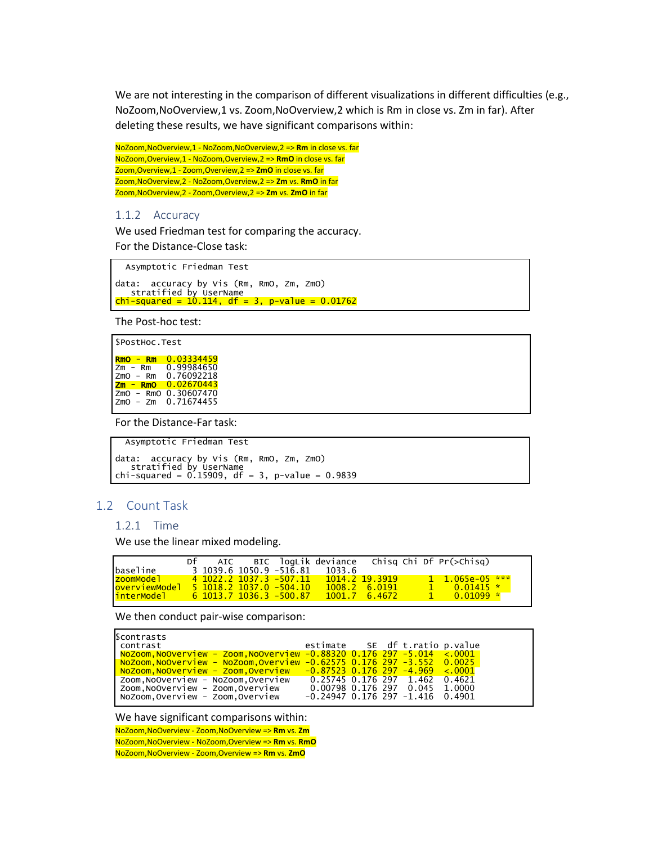We are not interesting in the comparison of different visualizations in different difficulties (e.g., NoZoom,NoOverview,1 vs. Zoom,NoOverview,2 which is Rm in close vs. Zm in far). After deleting these results, we have significant comparisons within:

NoZoom,NoOverview,1 - NoZoom,NoOverview,2 => **Rm** in close vs. far NoZoom,Overview,1 - NoZoom,Overview,2 => **RmO** in close vs. far Zoom,Overview,1 - Zoom,Overview,2 => **ZmO** in close vs. far Zoom,NoOverview,2 - NoZoom,Overview,2 => **Zm** vs. **RmO** in far Zoom,NoOverview,2 - Zoom,Overview,2 => **Zm** vs. **ZmO** in far

#### 1.1.2 Accuracy

We used Friedman test for comparing the accuracy. For the Distance-Close task:

Asymptotic Friedman Test

data: accuracy by Vis (Rm, RmO, Zm, ZmO) stratified by UserName chi-squared = 10.114, df = 3, p-value = 0.01762

The Post-hoc test:

```
$PostHoc.Test

RmO - Rm 0.03334459
Zm - Rm 0.99984650
zmO - Rm 0.76092218<br><mark>Zm - RmO</mark> 0.02670443
ZmO - RmO 0.30607470
ZmO - Zm 0.71674455
```
For the Distance-Far task:

```
 Asymptotic Friedman Test
data: accuracy by Vis (Rm, RmO, Zm, ZmO)
stratified by UserName
chi-squared = 0.15909, df = 3, p-value = 0.9839
```
#### 1.2 Count Task

#### 1.2.1 Time

We use the linear mixed modeling.

|                      | Df |  |                                 |                                      |                       |             | AIC BIC logLik deviance chisg Chi Df Pr(>Chisg) |  |
|----------------------|----|--|---------------------------------|--------------------------------------|-----------------------|-------------|-------------------------------------------------|--|
| baseline             |    |  |                                 | $3\ 1039.6\ 1050.9\ -516.81\ 1033.6$ |                       |             |                                                 |  |
| zoomModel_           |    |  | 4 1022.2 1037.3 -507.11         |                                      | 1014.2 19.3919        |             | $1 \quad 1.065e-05$ ***                         |  |
| <u>overviewModel</u> |    |  | <u>5 1018.2 1037.0 -504.10 </u> |                                      | 1008.2 6.0191         |             | $1$ 0.01415 $*$                                 |  |
| interModel           |    |  | 6 1013.7 1036.3 -500.87         |                                      | $1001.7 \quad 6.4672$ | <b>41 Z</b> | $0.01099 *$                                     |  |

We then conduct pair-wise comparison:

| Scontrasts                        |                                                                                  |                                      |  |  |
|-----------------------------------|----------------------------------------------------------------------------------|--------------------------------------|--|--|
| contrast                          |                                                                                  | estimate SE df t.ratio p.value       |  |  |
|                                   | $NoZoom, NoOverview - Zoom, NoOverview -0.88320 0.176 297 -5.014 < .0001$        |                                      |  |  |
|                                   | NoZoom,NoOverview - NoZoom,Overview -0.62575 0.176 297 -3.552 0.0025             |                                      |  |  |
|                                   | $N$ oZoom.NoOverview - Zoom.Overview   - $0.87523$ 0.176 297 -4.969 $\leq 0.001$ |                                      |  |  |
| Zoom,NoOverview - NoZoom,Overview |                                                                                  | 0.25745 0.176 297 1.462 0.4621       |  |  |
| Zoom,NoOverview - Zoom,Overview   |                                                                                  | 0.00798 0.176 297 0.045 1.0000       |  |  |
| NoZoom,Overview - Zoom,Overview   |                                                                                  | $-0.24947$ 0.176 297 $-1.416$ 0.4901 |  |  |
|                                   |                                                                                  |                                      |  |  |

#### We have significant comparisons within:

NoZoom,NoOverview - Zoom,NoOverview => **Rm** vs. **Zm** NoZoom,NoOverview - NoZoom,Overview => **Rm** vs. **RmO** NoZoom,NoOverview - Zoom,Overview => **Rm** vs. **ZmO**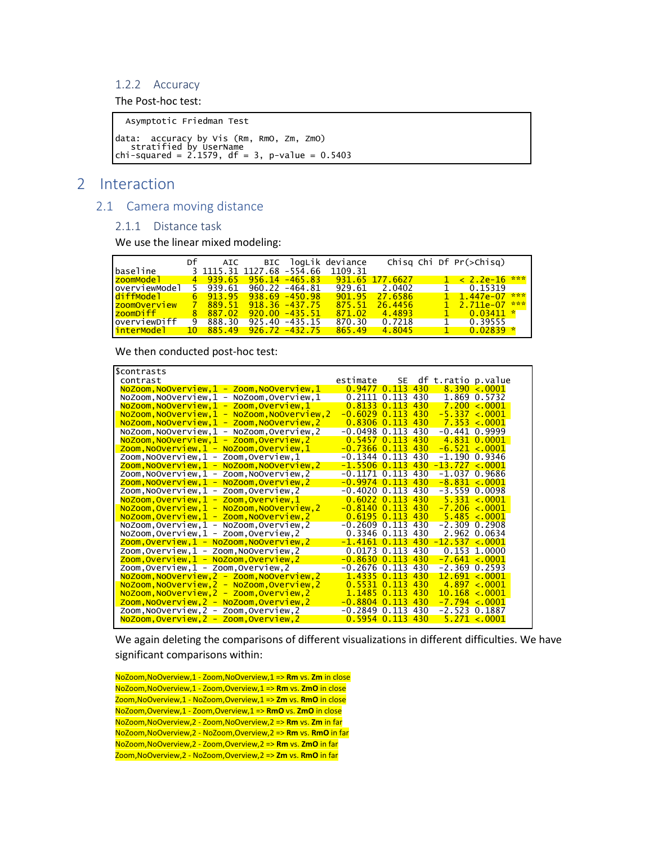## 1.2.2 Accuracy

The Post-hoc test:

Asymptotic Friedman Test

data: accuracy by Vis (Rm, RmO, Zm, ZmO) stratified by UserName chi-squared = 2.1579, df = 3, p-value = 0.5403

# 2 Interaction

## 2.1 Camera moving distance

#### 2.1.1 Distance task

We use the linear mixed modeling:

|                     |                                  |                       |                   | Df AIC BIC logLik deviance        |                | Chisg Chi Df $Pr(\geq Chisq)$       |  |
|---------------------|----------------------------------|-----------------------|-------------------|-----------------------------------|----------------|-------------------------------------|--|
| baseline            |                                  |                       |                   | 3 1115 31 1127 68 -554 66 1109 31 |                |                                     |  |
| zoomModel           | $4$ 939.65 956.14 -465.83        |                       |                   | 931 65 177 6627                   |                | $1 \times 2.2e-16$ ***              |  |
| overviewModel       | 5 939.61 960.22 -464.81          |                       |                   |                                   | 929.61 2.0402  | 1 0.15319                           |  |
| diffModel           | $6$ $913.95$ $938.69$ $-450.98$  |                       |                   |                                   | 901 95 27 6586 | $1 \quad 1 \quad 447e-07 \quad$ *** |  |
| <u>zoomOverview</u> |                                  | 889 51 918 36 -437 75 |                   | 875.51                            | 26.4456        | $1 \quad 2 \quad 711e-07 \quad$ *** |  |
| <u>zoomDiff</u>     | 8 887.02                         |                       | $920.00 - 435.51$ | 871.02                            | 4.4893         | $1 \t 0.03411*$                     |  |
| overviewDiff        | 888.30                           |                       | $925.40 - 435.15$ | 870.30                            | 0.7218         | 1 0.39555                           |  |
|                     | $10$ $885.49$ $926.72$ $-432.75$ |                       |                   | 865.49                            | 4.8045         | $0.02839*$<br>$\sim$ 1              |  |

We then conducted post-hoc test:

| Scontrasts                                       |                   |    |     |                      |                      |
|--------------------------------------------------|-------------------|----|-----|----------------------|----------------------|
| contrast                                         | estimate          | SE |     | df t.ratio p.value   |                      |
| NoZoom, NoOverview, 1 - Zoom, NoOverview, 1      | $0.9477$ 0.113    |    | 430 |                      | $8.390 \le 0.0001$   |
| NoZoom, NoOverview, 1 - NoZoom, Overview, 1      | $0.2111$ $0.113$  |    | 430 |                      | 1.869 0.5732         |
| NoZoom, NoOverview, 1 - Zoom, Overview, 1        | $0.8133$ $0.113$  |    | 430 |                      | 7.200 < 0.001        |
| NoZoom, NoOverview, 1 - NoZoom, NoOverview, 2    | $-0.6029$ 0.113   |    | 430 |                      | $-5.337 < .0001$     |
| $NoZoom, NoOverview, 1 - Zoom, NoOverview, 2$    | $0.8306$ $0.113$  |    | 430 |                      | 7.353 < .0001        |
| NoZoom, NoOverview, 1 - NoZoom, Overview, 2      | $-0.0498$ 0.113   |    | 430 |                      | $-0.441$ $0.9999$    |
| NoZoom, NoOverview, 1 - Zoom, Overview, 2        | $0.5457$ $0.113$  |    | 430 |                      | 4.831 0.0001         |
| $Zoom, NoOverview, 1 - NoZoom, Overview, 1$      | $-0.7366$ $0.113$ |    | 430 | $-6.521 \times 0001$ |                      |
| Zoom, NoOverview, 1 - Zoom, Overview, 1          | $-0.1344$ 0.113   |    | 430 |                      | -1.190 0.9346        |
| Zoom, NoOverview, 1 - NoZoom, NoOverview, 2      | $-1.5506$ 0.113   |    | 430 | $-13.727 < 0001$     |                      |
| Zoom, NoOverview, 1 - Zoom, NoOverview, 2        | $-0.1171$ 0.113   |    | 430 |                      | $-1.037$ 0.9686      |
| Zoom, NoOverview, 1 - NoZoom, Overview, 2        | $-0.9974$ 0.113   |    | 430 | $-8.831 \times 0001$ |                      |
| Zoom, NoOverview, 1 - Zoom, Overview, 2          | $-0.4020$ 0.113   |    | 430 |                      | -3.559 0.0098        |
| NoZoom, Overview, 1 - Zoom, Overview, 1          | $0.6022$ $0.113$  |    | 430 |                      | $5.331 \times 0001$  |
| $NoZoom, Overview, 1 - NoZoom, NoOverview, 2$    | $-0.8140$ 0.113   |    | 430 |                      | $-7.206 < 0001$      |
| NoZoom, Overview, 1 - Zoom, NoOverview, 2        | $0.6195$ $0.113$  |    | 430 |                      | $5.485 \times 0001$  |
| NoZoom, Overview, 1 - NoZoom, Overview, 2        | $-0.2609$ $0.113$ |    | 430 |                      | $-2.309$ 0.2908      |
| NoZoom, Overview, 1 - Zoom, Overview, 2          | 0.3346 0.113      |    | 430 |                      | 2.962 0.0634         |
| <u>Zoom, Overview, 1 - NoZoom, NoOverview, 2</u> | $-1.4161$ 0.113   |    | 430 | $-12.537 < 0001$     |                      |
| Zoom, Overview, 1 - Zoom, NoOverview, 2          | $0.0173$ $0.113$  |    | 430 |                      | 0.153 1.0000         |
| <u> Zoom, Overview, 1 - NoZoom, Overview, 2</u>  | $-0.8630$ 0.113   |    | 430 |                      | $-7.641 < 0001$      |
| Zoom, Overview, 1 - Zoom, Overview, 2            | $-0.2676$ 0.113   |    | 430 |                      | $-2.369$ 0.2593      |
| NoZoom,NoOverview,2 - Zoom,NoOverview,2          | 1 4335 0 113      |    | 430 |                      | $12.691 \times 0001$ |
| NoZoom, NoOverview, 2 - NoZoom, Overview, 2      | $0.5531$ $0.113$  |    | 430 |                      | 4.897 < 0001         |
| NoZoom, NoOverview, 2 - Zoom, Overview, 2        | 1.1485 0.113      |    | 430 | 10.168 < 0001        |                      |
| Zoom, NoOverview, 2 - NoZoom, Overview, 2        | $-0.8804$ 0.113   |    | 430 |                      | $-7.794 < 0001$      |
| Zoom, NoOverview, 2 - Zoom, Overview, 2          | $-0.2849$ $0.113$ |    | 430 |                      | -2.523 0.1887        |
| NoZoom, Overview, 2 - Zoom, Overview, 2          | $0.5954$ $0.113$  |    | 430 |                      | 5.271 < .0001        |

We again deleting the comparisons of different visualizations in different difficulties. We have significant comparisons within:

NoZoom,NoOverview,1 - Zoom,NoOverview,1 => **Rm** vs. **Zm** in close NoZoom,NoOverview,1 - Zoom,Overview,1 => **Rm** vs. **ZmO** in close Zoom,NoOverview,1 - NoZoom,Overview,1 => **Zm** vs. **RmO** in close NoZoom,Overview,1 - Zoom,Overview,1 => **RmO** vs. **ZmO** in close NoZoom,NoOverview,2 - Zoom,NoOverview,2 => **Rm** vs. **Zm** in far NoZoom,NoOverview,2 - NoZoom,Overview,2 => **Rm** vs. **RmO** in far NoZoom,NoOverview,2 - Zoom,Overview,2 => **Rm** vs. **ZmO** in far Zoom,NoOverview,2 - NoZoom,Overview,2 => **Zm** vs. **RmO** in far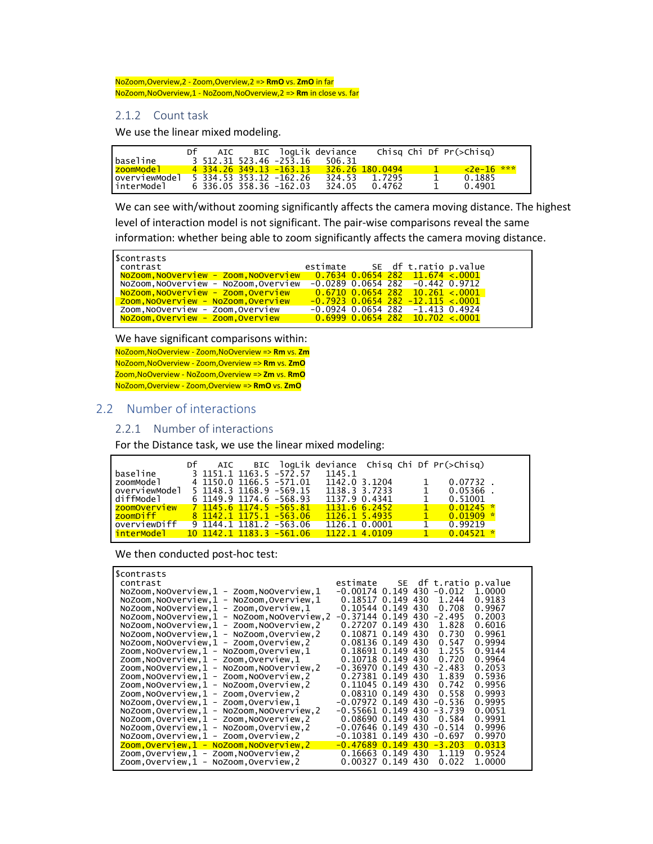NoZoom,Overview,2 - Zoom,Overview,2 => **RmO** vs. **ZmO** in far NoZoom,NoOverview,1 - NoZoom,NoOverview,2 => **Rm** in close vs. far

#### 2.1.2 Count task

We use the linear mixed modeling.

|                        | Df | AIC |                         | BIC logLik deviance |                 |                          | Chisg Chi Df Pr(>Chisg) |  |
|------------------------|----|-----|-------------------------|---------------------|-----------------|--------------------------|-------------------------|--|
| baseline               |    |     | 3 512 31 523 46 -253 16 | 506.31              |                 |                          |                         |  |
| <mark>zoomModel</mark> |    |     | 4 334 26 349 13 -163 13 |                     | 326.26 180.0494 | <u>the second proper</u> | $\sqrt{2e-16}$ ***      |  |
| overviewModel          |    |     | 5 334 53 353 12 -162 26 | 324.53              | 1.7295          |                          | 0.1885                  |  |
| linterModel            |    |     | 6 336 05 358 36 -162 03 | 324.05              | 0.4762          |                          | 0.4901                  |  |

We can see with/without zooming significantly affects the camera moving distance. The highest level of interaction model is not significant. The pair-wise comparisons reveal the same information: whether being able to zoom significantly affects the camera moving distance.

| Scontrasts                                                            |                                     |  |                                       |  |
|-----------------------------------------------------------------------|-------------------------------------|--|---------------------------------------|--|
| contrast                                                              | estimate SE df t.ratio p.value      |  |                                       |  |
| NoZoom, NoOverview - Zoom, NoOverview 0.7634 0.0654 282 11.674 < 0001 |                                     |  |                                       |  |
| NoZoom, NoOverview - NoZoom, Overview                                 |                                     |  | $-0.0289$ 0.0654 282 $-0.442$ 0.9712  |  |
| NoZoom,NoOverview - Zoom,Overview                                     | $0.6710$ 0.0654 282 $10.261$ < 0001 |  |                                       |  |
| Zoom, NoOverview - NoZoom, Overview                                   |                                     |  | $-0.7923$ 0.0654 282 $-12.115 < 0001$ |  |
| Zoom, NoOverview - Zoom, Overview                                     |                                     |  | $-0.0924$ 0.0654 282 $-1.413$ 0.4924  |  |
| NoZoom,Overview - Zoom,Overview                                       | $0.6999$ 0.0654 282 10.702 < 0001   |  |                                       |  |
|                                                                       |                                     |  |                                       |  |

We have significant comparisons within:

NoZoom,NoOverview - Zoom,NoOverview => **Rm** vs. **Zm** NoZoom,NoOverview - Zoom,Overview => **Rm** vs. **ZmO** Zoom,NoOverview - NoZoom,Overview => **Zm** vs. **RmO** NoZoom,Overview - Zoom,Overview => **RmO** vs. **ZmO**

#### 2.2 Number of interactions

## 2.2.1 Number of interactions

For the Distance task, we use the linear mixed modeling:

|               | Df | AIC |                            |               |  | BIC logLik deviance Chisg Chi Df Pr(>Chisg) |  |
|---------------|----|-----|----------------------------|---------------|--|---------------------------------------------|--|
| baseline      |    |     | 3 1151 1 1163 5 -572 57    | 1145.1        |  |                                             |  |
| zoomModel     |    |     | 4 1150.0 1166.5 -571.01    | 1142.0 3.1204 |  | 0.07732                                     |  |
| overviewModel |    |     | 5 1148.3 1168.9 -569.15    | 1138.3 3.7233 |  | 0.05366                                     |  |
| diffModel     |    |     | $6$ 1149.9 1174.6 -568.93  | 1137.9 0.4341 |  | 0.51001                                     |  |
| zoomOverview  |    |     | $7$ 1145.6 1174.5 -565.81  | 1131.66.2452  |  | $0.01245*$                                  |  |
| zoomDiff      |    |     | 8 1142 1 1175 1 -563 06    | 1126.1 5.4935 |  | 0.01909                                     |  |
| overviewDiff  |    |     | $9$ 1144 1 1181 2 -563 06  | 1126.1 0.0001 |  | 0.99219                                     |  |
| interModel    |    |     | $10$ 1142 1 1183 3 -561 06 | 1122.1 4.0109 |  | $0.04521$ *                                 |  |
|               |    |     |                            |               |  |                                             |  |

We then conducted post-hoc test:

| Scontrasts                                       |                    |     |          |                         |
|--------------------------------------------------|--------------------|-----|----------|-------------------------|
| contrast                                         | estimate           |     |          | SE df t. ratio p. value |
| $NoZoom, NoOverview, 1 - Zoom, NoOverview, 1$    | $-0.00174$ 0.149   | 430 | $-0.012$ | 1.0000                  |
| NoZoom, NoOverview, 1 - NoZoom, Overview, 1      | $0.18517$ $0.149$  | 430 | 1.244    | 0.9183                  |
| $NoZoom, NoOverview, 1 - Zoom, Overview, 1$      | $0.10544$ 0.149    | 430 | 0.708    | 0.9967                  |
| NoZoom, NoOverview, 1 - NoZoom, NoOverview, 2    | $-0.37144$ 0.149   | 430 | $-2.495$ | 0.2003                  |
| NoZoom, NoOverview, 1 - Zoom, NoOverview, 2      | $0.27207$ 0.149    | 430 | 1.828    | 0.6016                  |
| NoZoom, NoOverview, 1 - NoZoom, Overview, 2      | 0.10871 0.149      | 430 | 0.730    | 0.9961                  |
| NoZoom, NoOverview, 1 - Zoom, Overview, 2        | 0.08136 0.149      | 430 | 0.547    | 0.9994                  |
| Zoom,NoOverview,1 - NoZoom,Overview,1            | 0.18691 0.149      | 430 | 1.255    | 0.9144                  |
| Zoom, NoOverview, 1 - Zoom, Overview, 1          | 0.10718 0.149      | 430 | 0.720    | 0.9964                  |
| Zoom, NoOverview, 1 - NoZoom, NoOverview, 2      | $-0.36970$ 0.149   | 430 | $-2.483$ | 0.2053                  |
| Zoom, NoOverview, 1 - Zoom, NoOverview, 2        | 0.27381 0.149      | 430 | 1.839    | 0.5936                  |
| Zoom, NoOverview, 1 - NoZoom, Overview, 2        | $0.11045$ 0.149    | 430 | 0.742    | 0.9956                  |
| Zoom, NoOverview, 1 - Zoom, Overview, 2          | $0.08310$ $0.149$  | 430 | 0.558    | 0.9993                  |
| $NoZoom, Overview, 1 - Zoom, Overview, 1$        | $-0.07972$ 0.149   | 430 | $-0.536$ | 0.9995                  |
| NoZoom, Overview, 1 - NoZoom, NoOverview, 2      | $-0.55661$ $0.149$ | 430 | $-3.739$ | 0.0051                  |
| NoZoom, Overview, 1 - Zoom, NoOverview, 2        | 0.086900.149       | 430 | 0.584    | 0.9991                  |
| NoZoom, Overview, 1 - NoZoom, Overview, 2        | $-0.07646$ 0.149   | 430 | $-0.514$ | 0.9996                  |
| NoZoom, Overview, 1 - Zoom, Overview, 2          | $-0.10381$ $0.149$ | 430 | $-0.697$ | 0.9970                  |
| <u>Zoom, Overview, 1 - NoZoom, NoOverview, 2</u> | $-0.47689$ 0.149   | 430 | $-3.203$ | 0.0313                  |
| Zoom, Overview, 1 - Zoom, NoOverview, 2          | $0.16663$ 0.149    | 430 | 1.119    | 0.9524                  |
| Zoom, Overview, 1 - NoZoom, Overview, 2          | 0.00327 0.149      | 430 | 0.022    | 1.0000                  |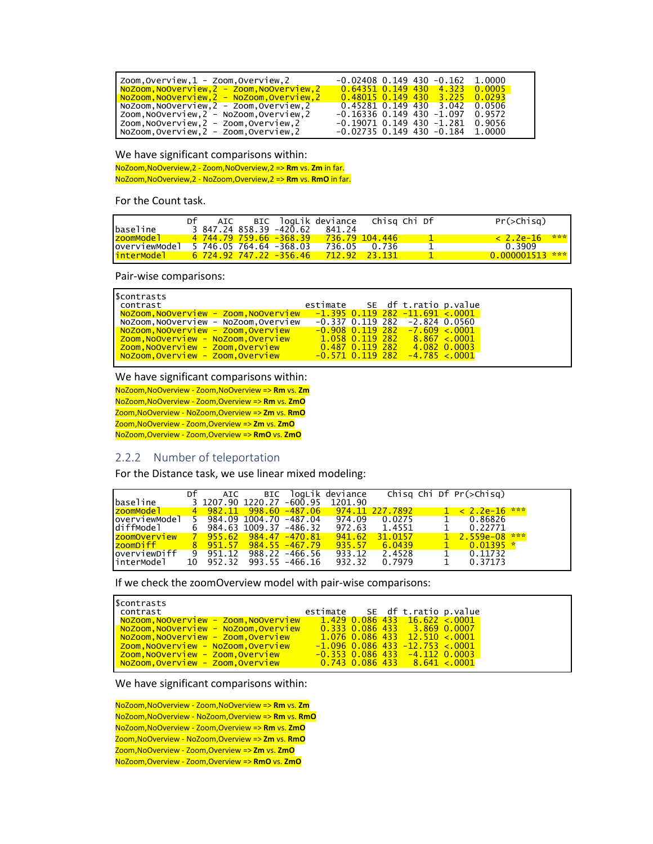| Zoom.Overview,1 - Zoom,Overview,2           | $-0.02408$ 0.149 430 $-0.162$ 1.0000     |
|---------------------------------------------|------------------------------------------|
| NoZoom, NoOverview, 2 - Zoom, NoOverview, 2 | 0.64351 0.149 430 4.323 0.0005           |
| NoZoom.NoOverview.2 - NoZoom.Overview.2     | $0.48015$ 0.149 430 3.225 0.0293         |
| NoZoom, NoOverview, 2 - Zoom, Overview, 2   | $0.45281$ $0.149$ $430$ $3.042$ $0.0506$ |
| Zoom.NoOverview,2 - NoZoom,Overview,2       | $-0.16336$ 0.149 430 $-1.097$ 0.9572     |
| Zoom,NoOverview,2 - Zoom,Overview,2         | $-0.19071$ 0.149 430 $-1.281$ 0.9056     |
| NoZoom.Overview, 2 - Zoom, Overview, 2      | $-0.02735$ 0.149 430 $-0.184$ 1.0000     |

We have significant comparisons within:

NoZoom,NoOverview,2 - Zoom,NoOverview,2 => **Rm** vs. **Zm** in far. NoZoom,NoOverview,2 - NoZoom,Overview,2 => **Rm** vs. **RmO** in far.

For the Count task.

|  |    |     |                         |                                                    |              | $Pr($ >Chisg $)$                                                                                |
|--|----|-----|-------------------------|----------------------------------------------------|--------------|-------------------------------------------------------------------------------------------------|
|  |    |     | 841.24                  |                                                    |              |                                                                                                 |
|  |    |     |                         |                                                    |              | ***<br>$< 2.2e-16$                                                                              |
|  |    |     |                         |                                                    |              | 0.3909                                                                                          |
|  |    |     |                         |                                                    |              | $0.000001513$ ***                                                                               |
|  | Df | AIC | 5 746.05 764.64 -368.03 | 3 847.24 858.39 -420.62<br>4 744.79 759.66 -368.39 | 736.05 0.736 | BIC loqLik deviance - Chisq Chi Df<br>$736.79$ 104.446<br>6 724 92 747 22 -356 46 712 92 23 131 |

Pair-wise comparisons:

| Scontrasts                                       |                                  |  |                                           |  |
|--------------------------------------------------|----------------------------------|--|-------------------------------------------|--|
| contrast                                         | estimate SE df t. ratio p. value |  |                                           |  |
| <mark>NoZoom.NoOverview - Zoom.NoOverview</mark> |                                  |  | <u>-1.395 0.119 282 -11.691 &lt;.0001</u> |  |
| NoZoom,NoOverview - NoZoom,Overview              |                                  |  | $-0.337$ 0.119 282 $-2.824$ 0.0560        |  |
| <u>  NoZoom,NoOverview - Zoom,Overview</u>       |                                  |  | $-0.908$ 0.119 282 $-7.609$ < 0001        |  |
| <mark>  Zoom,NoOverview - NoZoom,Overview</mark> |                                  |  | $1.058$ 0.119 282 8.867 < 0001            |  |
| <mark>  Zoom,NoOverview - Zoom,Overview</mark>   | $0.487$ 0.119 282 $0.082$ 0.0003 |  |                                           |  |
| <mark>  NoZoom,Overview - Zoom,Overview</mark>   |                                  |  | $-0.571$ 0.119 282 $-4.785$ < 0001        |  |
|                                                  |                                  |  |                                           |  |

#### We have significant comparisons within:

NoZoom,NoOverview - Zoom,NoOverview => **Rm** vs. **Zm** NoZoom,NoOverview - Zoom,Overview => **Rm** vs. **ZmO** Zoom,NoOverview - NoZoom,Overview => **Zm** vs. **RmO** Zoom,NoOverview - Zoom,Overview => **Zm** vs. **ZmO** NoZoom,Overview - Zoom,Overview => **RmO** vs. **ZmO**

## 2.2.2 Number of teleportation

For the Distance task, we use linear mixed modeling:

|                        | Df | AIC.                              | BIC |                   | logLik deviance                         |         |  | Chisg Chi Df $Pr(\geq Chisq)$ |  |
|------------------------|----|-----------------------------------|-----|-------------------|-----------------------------------------|---------|--|-------------------------------|--|
| lbaseline              |    | 3 1207.90 1220.27 -600.95         |     |                   | 1201.90                                 |         |  |                               |  |
| <mark>zoomModel</mark> |    |                                   |     |                   | 4 982.11 998.60 -487.06 974.11 227.7892 |         |  | $1 < 2.2e-16$ ***             |  |
| loverviewModel         |    | 5 984.09 1004.70 -487.04          |     |                   | 974.09                                  | 0.0275  |  | 0.86826                       |  |
| ldiffModel             |    | $6\quad 984.63\ 1009.37\ -486.32$ |     |                   | 972.63                                  | 1.4551  |  | 0.22771                       |  |
| IzoomOverview'         |    | 7 955.62 984.47 -470.81           |     |                   | 941.62                                  | 31.0157 |  | $1\quad 2.559e-08$ ***        |  |
| IzoomDiff I            |    | 8 951.57                          |     | $984.55 - 467.79$ | 935.57                                  | 6.0439  |  | $0.01395*$                    |  |
| loverviewDiff          | -9 | 951.12                            |     | $988.22 - 466.56$ | 933.12                                  | 2.4528  |  | 0.11732                       |  |
| linterModel            | 10 | 952.32                            |     | $993.55 - 466.16$ | 932.32                                  | 0.7979  |  | 0.37173                       |  |

If we check the zoomOverview model with pair-wise comparisons:

| l <mark>NoZoom.NoOverview - Zoom.NoOverview</mark><br>$1.429$ 0.086 433 16.622 < 0001<br>NoZoom,NoOverview - NoZoom,Overview<br>$0.333$ 0.086 433 3.869 0.0007<br>$1.076$ 0.086 433 12.510 < 0001<br>$-1.096$ 0.086 433 $-12.753$ < 0001<br>$-0.353$ 0.086 433 $-4.112$ 0.0003<br><mark>  Zoom,NoOverview - Zoom,Overview</mark> | scontrasts!<br>l contrast                      | estimate SE df t.ratio p.value |  |  |
|----------------------------------------------------------------------------------------------------------------------------------------------------------------------------------------------------------------------------------------------------------------------------------------------------------------------------------|------------------------------------------------|--------------------------------|--|--|
|                                                                                                                                                                                                                                                                                                                                  |                                                |                                |  |  |
|                                                                                                                                                                                                                                                                                                                                  | NoZoom,NoOverview - Zoom,Overview              |                                |  |  |
|                                                                                                                                                                                                                                                                                                                                  | <mark>Zoom,NoOverview - NoZoom,Overview</mark> |                                |  |  |
| $0.743\,0.086\,433\phantom{00}8.641<.0001$                                                                                                                                                                                                                                                                                       | NoZoom,Overview - Zoom,Overview                |                                |  |  |

We have significant comparisons within:

NoZoom,NoOverview - Zoom,NoOverview => **Rm** vs. **Zm** NoZoom,NoOverview - NoZoom,Overview => **Rm** vs. **RmO** NoZoom,NoOverview - Zoom,Overview => **Rm** vs. **ZmO** Zoom,NoOverview - NoZoom,Overview => **Zm** vs. **RmO** Zoom,NoOverview - Zoom,Overview => **Zm** vs. **ZmO** NoZoom,Overview - Zoom,Overview => **RmO** vs. **ZmO**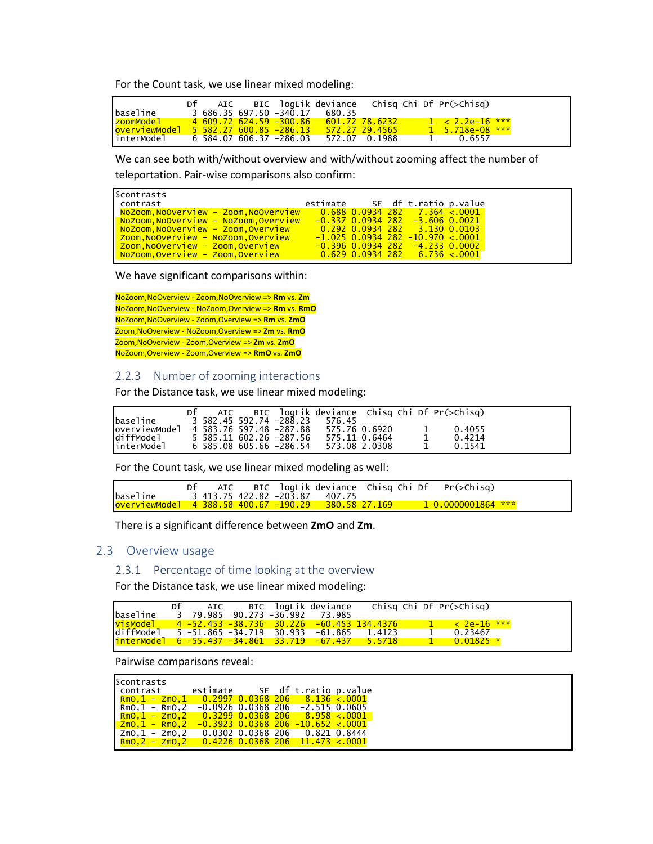For the Count task, we use linear mixed modeling:

|                                                                                 | Df |  |                         | AIC BIC logLik deviance chisg Chi Df $Pr(\geq Chisq)$ |  |          |                         |  |
|---------------------------------------------------------------------------------|----|--|-------------------------|-------------------------------------------------------|--|----------|-------------------------|--|
| baseline                                                                        |    |  | 3 686 35 697 50 -340 17 | 680.35                                                |  |          |                         |  |
| <u>  zoomMode]           4  609.72  624.59  -300.86     601.72  78.6232    </u> |    |  |                         |                                                       |  |          | $1 < 2.2$ e-16 ***      |  |
|                                                                                 |    |  |                         |                                                       |  |          | $1\quad 5.718$ e-08 *** |  |
|                                                                                 |    |  |                         |                                                       |  | $\sim$ 1 | 0.6557                  |  |

We can see both with/without overview and with/without zooming affect the number of teleportation. Pair-wise comparisons also confirm:

| Scontrasts                                     |                                |  |                                      |  |
|------------------------------------------------|--------------------------------|--|--------------------------------------|--|
| l contrast                                     | estimate SE df t.ratio p.value |  |                                      |  |
|                                                |                                |  |                                      |  |
| <u>  NoZoom,NoOverview - NoZoom,Overview</u>   |                                |  | -0.337 0.0934 282 -3.606 0.0021      |  |
| <u>  NoZoom,NoOverview - Zoom,Overview</u>     |                                |  | $0.292$ 0.0934 282 $-3.130$ 0.0103   |  |
| <u>  Zoom,NoOverview - NoZoom,Overview</u>     |                                |  | $-1.025$ 0.0934 282 $-10.970$ < 0001 |  |
| <mark>  Zoom,NoOverview - Zoom,Overview</mark> |                                |  | -0.396 0.0934 282 -4.233 0.0002      |  |
| NoZoom,Overview - Zoom,Overview                |                                |  | $0.629$ 0.0934 282 $6.736 < 0.001$   |  |
|                                                |                                |  |                                      |  |

We have significant comparisons within:

NoZoom,NoOverview - Zoom,NoOverview => **Rm** vs. **Zm** NoZoom,NoOverview - NoZoom,Overview => **Rm** vs. **RmO** NoZoom,NoOverview - Zoom,Overview => **Rm** vs. **ZmO** Zoom,NoOverview - NoZoom,Overview => **Zm** vs. **RmO** Zoom,NoOverview - Zoom,Overview => **Zm** vs. **ZmO** NoZoom,Overview - Zoom,Overview => **RmO** vs. **ZmO**

#### 2.2.3 Number of zooming interactions

For the Distance task, we use linear mixed modeling:

|                                        | Df |  |                         |               |  |              | AIC BIC logLik deviance Chisg Chi Df $Pr(\geq Chisq)$ |
|----------------------------------------|----|--|-------------------------|---------------|--|--------------|-------------------------------------------------------|
| lbaseline                              |    |  | 3 582.45 592.74 -288.23 | 576.45        |  |              |                                                       |
| loverviewModel 4 583.76 597.48 -287.88 |    |  |                         | 575.76 0.6920 |  | $\mathbf{1}$ | 0.4055                                                |
| ldiffModel                             |    |  | 5 585 11 602 26 -287 56 | 575.11 0.6464 |  | -1           | 0.4214                                                |
| linterModel                            |    |  | 6 585 08 605 66 -286 54 | 573.08 2.0308 |  |              | 0.1541                                                |

For the Count task, we use linear mixed modeling as well:

|                                                      |  |  |                                |  | AIC BIC logLik deviance Chisg Chi Df Pr(>Chisg) |
|------------------------------------------------------|--|--|--------------------------------|--|-------------------------------------------------|
| lbaseline                                            |  |  | 3 413.75 422.82 -203.87 407.75 |  |                                                 |
| loverviewMode] 4 388.58 400.67 -190.29 380.58 27.169 |  |  |                                |  | $10.0000001864$ ***                             |

There is a significant difference between **ZmO** and **Zm**.

#### 2.3 Overview usage

2.3.1 Percentage of time looking at the overview

For the Distance task, we use linear mixed modeling:

|                                                                                                          | Df |  |                                |                                                  |              | AIC BIC logLik deviance chisg Chi Df Pr(>Chisg) |  |
|----------------------------------------------------------------------------------------------------------|----|--|--------------------------------|--------------------------------------------------|--------------|-------------------------------------------------|--|
| baseline                                                                                                 |    |  | 3 79.985 90.273 -36.992 73.985 |                                                  |              |                                                 |  |
| $v$ isModel                                                                                              |    |  |                                | <u>4 -52.453 -38.736 30.226 -60.453 134.4376</u> |              | <b>1</b> $\lt$ 2e-16 ***                        |  |
|                                                                                                          |    |  |                                |                                                  | $\mathbf{1}$ | 0.23467                                         |  |
| diffModel 5 -51.865 -34.719 30.933 -61.865 1.4123<br> interModel 6 -55.437 -34.861 33.719 -67.437 5.5718 |    |  |                                |                                                  |              | $1 \t 0.01825$ *                                |  |

Pairwise comparisons reveal:

| Scontrasts |                                                              |  |  |
|------------|--------------------------------------------------------------|--|--|
| l contrast |                                                              |  |  |
|            | $R$ mO, $1$ - ZmO, $1$ 0.2997 0.0368 206 $8.136 < 0001$      |  |  |
|            | $RMO, 1 - RMO, 2 -0.0926 0.0368 206 -2.515 0.0605$           |  |  |
|            | $R$ mO, $1$ - ZmO, $2$ $0.3299$ 0.0368 206 $8.958$ <.0001    |  |  |
|            | <u>  zmo,1 - Rmo,2  -0.3923 0.0368 206 -10.652 &lt;.0001</u> |  |  |
|            | ZmO.1 - ZmO.2   0.0302 0.0368 206   0.821 0.8444             |  |  |
|            | $R$ mO,2 - ZmO,2 0.4226 0.0368 206 11.473 < 0001             |  |  |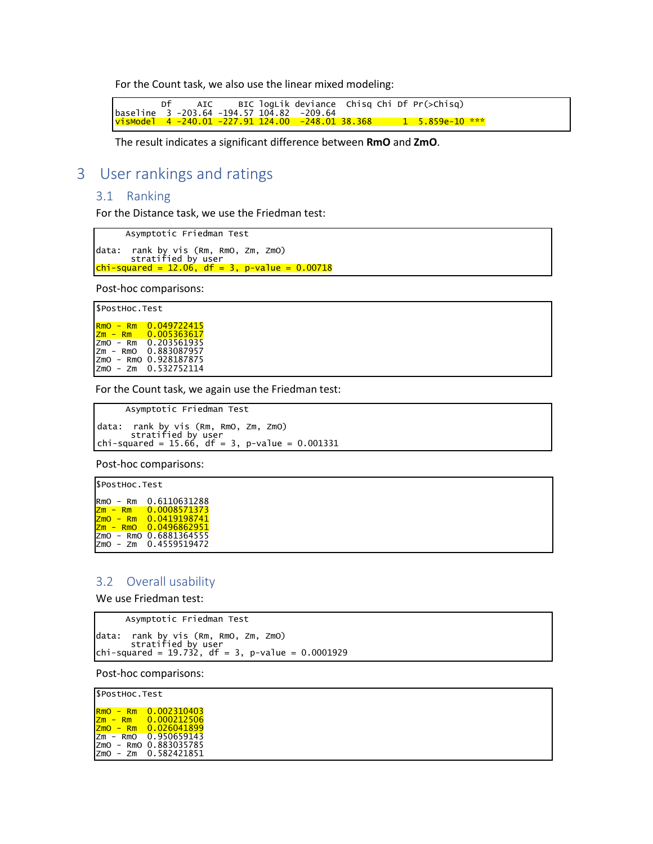For the Count task, we also use the linear mixed modeling:

 Df AIC BIC logLik deviance Chisq Chi Df Pr(>Chisq) baseline 3 -203.64 -194.57 104.82 -209.64<br><mark>visModel 4 -240.01 -227.91 124.00 -248.01 38.368 1 1 5.859e-10 \*\*\*</mark>

The result indicates a significant difference between **RmO** and **ZmO**.

# 3 User rankings and ratings

## 3.1 Ranking

For the Distance task, we use the Friedman test:

Asymptotic Friedman Test

```
data: rank by vis (Rm, RmO, Zm, ZmO)
      stratified by user
chi-squared = 12.06, df = 3, p-value = 0.00718
```
Post-hoc comparisons:

\$PostHoc.Test RmO - Rm 0.049722415 Zm - Rm 0.005363617 ZmO - Rm 0.203561935 Zm - RmO 0.883087957 ZmO - RmO 0.928187875 ZmO - Zm 0.532752114

For the Count task, we again use the Friedman test:

```
Asymptotic Friedman Test
```
 data: rank by vis (Rm, RmO, Zm, ZmO) stratified by user<br>chi-squared = 15.66, df = 3, p-value =  $0.001331$ 

Post-hoc comparisons:

\$PostHoc.Test RmO - Rm 0.6110631288 Zm - Rm 0.0008571373 ZmO - Rm 0.0419198741 Zm - RmO 0.0496862951 ZmO - RmO 0.6881364555 ZmO - Zm 0.4559519472

#### 3.2 Overall usability

We use Friedman test:

Asymptotic Friedman Test

data: rank by vis (Rm, RmO, Zm, ZmO) stratified by user chi-squared <sup>=</sup> 19.732, df <sup>=</sup> 3, p-value <sup>=</sup> 0.0001929

Post-hoc comparisons:

| SPostHoc.Test                                                                                                         |                                                 |
|-----------------------------------------------------------------------------------------------------------------------|-------------------------------------------------|
| <b>R<sub>mO</sub></b><br>Rm<br>$\overline{\phantom{0}}$<br> Zm <br>Rm<br><b>ZmO</b><br>Rm<br>$\overline{\phantom{0}}$ | 0.002310403<br>0.000212506<br>0.026041899       |
| Izm<br>RmO<br>$\overline{\phantom{a}}$<br><b>Izmo</b><br>Izmo<br>Zm<br>$\overline{\phantom{a}}$                       | 0.950659143<br>- RmO 0.883035785<br>0.582421851 |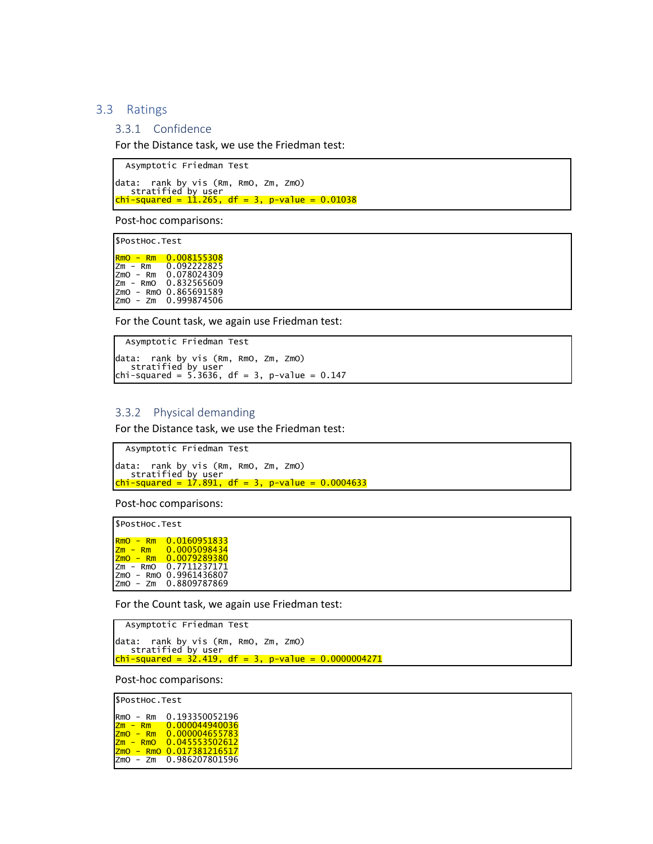#### 3.3 Ratings

#### 3.3.1 Confidence

For the Distance task, we use the Friedman test:

Asymptotic Friedman Test data: rank by vis (Rm, RmO, Zm, ZmO) stratified by user chi-stratified by user<br><mark>chi-squared = 11.265, df = 3, p-value = 0.01038</mark>

Post-hoc comparisons:

\$PostHoc.Test

 RmO - Rm 0.008155308 Zm - Rm 0.092222825 ZmO - Rm 0.078024309 Zm - RmO 0.832565609 ZmO - RmO 0.865691589 ZmO - Zm 0.999874506

For the Count task, we again use Friedman test:

```
Asymptotic Friedman Test
data: rank by vis (Rm, RmO, Zm, ZmO)
   stratified by user
chi-squared = 5.3636, df = 3, p-value = 0.147
```
#### 3.3.2 Physical demanding

For the Distance task, we use the Friedman test:

```
Asymptotic Friedman Test
data: rank by vis (Rm, RmO, Zm, ZmO)
stratified by user
chi-squared = 17.891, df = 3, p-value = 0.0004633
```
Post-hoc comparisons:

\$PostHoc.Test RmO - Rm 0.0160951833 Zm - Rm 0.0005098434 ZmO - Rm 0.0079289380 Zm - RmO 0.7711237171 ZmO - RmO 0.9961436807 ZmO - Zm 0.8809787869

For the Count task, we again use Friedman test:

```
Asymptotic Friedman Test
data: rank by vis (Rm, RmO, Zm, ZmO)
stratified by user
chi-squared = 32.419, df = 3, p-value = 0.0000004271
```
Post-hoc comparisons:

\$PostHoc.Test

```
RmO - Rm 0.193350052196
Zm - Rm 0.000044940036
ZmO - Rm 0.000004655783
Zm - RmO 0.045553502612
<mark>zmO - RmO 0.017381216517</mark><br>zmO - zm  0.986207801596
```